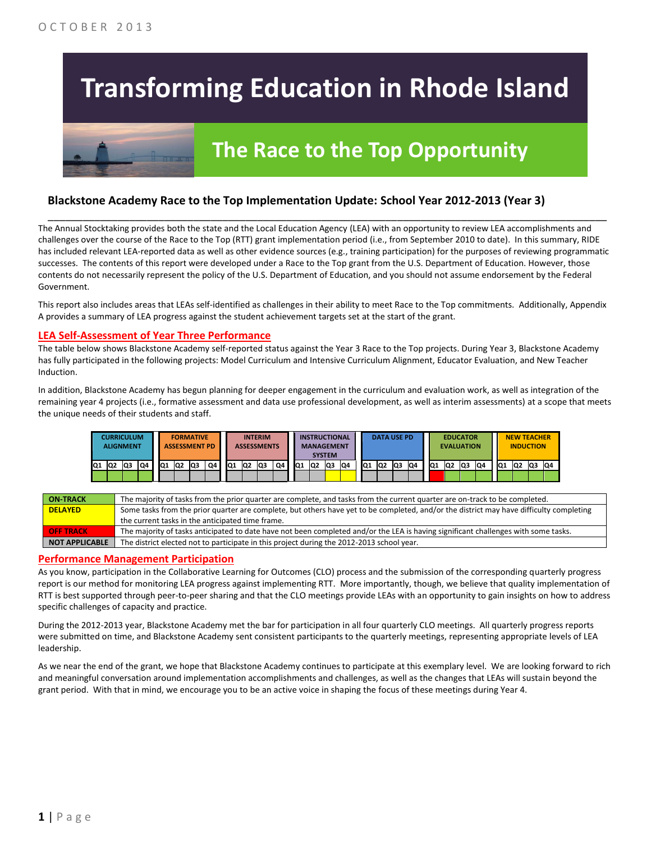# **Transforming Education in Rhode Island**



# **The Race to the Top Opportunity**

### **Blackstone Academy Race to the Top Implementation Update: School Year 2012-2013 (Year 3)**

The Annual Stocktaking provides both the state and the Local Education Agency (LEA) with an opportunity to review LEA accomplishments and challenges over the course of the Race to the Top (RTT) grant implementation period (i.e., from September 2010 to date). In this summary, RIDE has included relevant LEA-reported data as well as other evidence sources (e.g., training participation) for the purposes of reviewing programmatic successes. The contents of this report were developed under a Race to the Top grant from the U.S. Department of Education. However, those contents do not necessarily represent the policy of the U.S. Department of Education, and you should not assume endorsement by the Federal Government.

\_\_\_\_\_\_\_\_\_\_\_\_\_\_\_\_\_\_\_\_\_\_\_\_\_\_\_\_\_\_\_\_\_\_\_\_\_\_\_\_\_\_\_\_\_\_\_\_\_\_\_\_\_\_\_\_\_\_\_\_\_\_\_\_\_\_\_\_\_\_\_\_\_\_\_\_\_\_\_\_\_\_\_\_\_\_\_\_\_\_\_\_\_\_\_\_

This report also includes areas that LEAs self-identified as challenges in their ability to meet Race to the Top commitments. Additionally, Appendix A provides a summary of LEA progress against the student achievement targets set at the start of the grant.

#### **LEA Self-Assessment of Year Three Performance**

The table below shows Blackstone Academy self-reported status against the Year 3 Race to the Top projects. During Year 3, Blackstone Academy has fully participated in the following projects: Model Curriculum and Intensive Curriculum Alignment, Educator Evaluation, and New Teacher Induction.

In addition, Blackstone Academy has begun planning for deeper engagement in the curriculum and evaluation work, as well as integration of the remaining year 4 projects (i.e., formative assessment and data use professional development, as well as interim assessments) at a scope that meets the unique needs of their students and staff.

|     |    | CURRICULUM<br><b>ALIGNMENT</b> |    |    |                 | <b>FORMATIVE</b><br><b>ASSESSMENT PD</b> |    |     |                 | <b>INTERIM</b><br><b>ASSESSMENTS</b> |    |    |                 | <b>INSTRUCTIONAL</b><br><b>MANAGEMENT</b><br><b>SYSTEM</b> |    |     | <b>DATA USE PD</b> |     |     |                 |                 | <b>EDUCATOR</b><br><b>EVALUATION</b> |     |    | <b>NEW TEACHER</b><br><b>INDUCTION</b> |    |     |
|-----|----|--------------------------------|----|----|-----------------|------------------------------------------|----|-----|-----------------|--------------------------------------|----|----|-----------------|------------------------------------------------------------|----|-----|--------------------|-----|-----|-----------------|-----------------|--------------------------------------|-----|----|----------------------------------------|----|-----|
| IQ1 | Q2 | lQ3                            | Q4 | Q1 | IQ <sub>2</sub> | lQ3                                      | Q4 | IQ1 | IQ <sub>2</sub> | lQ3                                  | Q4 | Q1 | IQ <sub>2</sub> | lQ3                                                        | Q4 | IQ1 | Q2                 | lQ3 | IQ4 | IQ <sub>1</sub> | IQ <sub>2</sub> | Q <sub>3</sub>                       | IQ4 | Q1 | Q2                                     | Q3 | IQ4 |

| <b>ON TRACK</b>       | The majority of tasks from the prior quarter are complete, and tasks from the current quarter are on-track to be completed.             |
|-----------------------|-----------------------------------------------------------------------------------------------------------------------------------------|
| <b>DELAYED</b>        | Some tasks from the prior quarter are complete, but others have yet to be completed, and/or the district may have difficulty completing |
|                       | the current tasks in the anticipated time frame.                                                                                        |
| <b>OFF TRACK</b>      | The majority of tasks anticipated to date have not been completed and/or the LEA is having significant challenges with some tasks.      |
| <b>NOT APPLICABLE</b> | The district elected not to participate in this project during the 2012-2013 school year.                                               |

#### **Performance Management Participation**

As you know, participation in the Collaborative Learning for Outcomes (CLO) process and the submission of the corresponding quarterly progress report is our method for monitoring LEA progress against implementing RTT. More importantly, though, we believe that quality implementation of RTT is best supported through peer-to-peer sharing and that the CLO meetings provide LEAs with an opportunity to gain insights on how to address specific challenges of capacity and practice.

During the 2012-2013 year, Blackstone Academy met the bar for participation in all four quarterly CLO meetings. All quarterly progress reports were submitted on time, and Blackstone Academy sent consistent participants to the quarterly meetings, representing appropriate levels of LEA leadership.

As we near the end of the grant, we hope that Blackstone Academy continues to participate at this exemplary level. We are looking forward to rich and meaningful conversation around implementation accomplishments and challenges, as well as the changes that LEAs will sustain beyond the grant period. With that in mind, we encourage you to be an active voice in shaping the focus of these meetings during Year 4.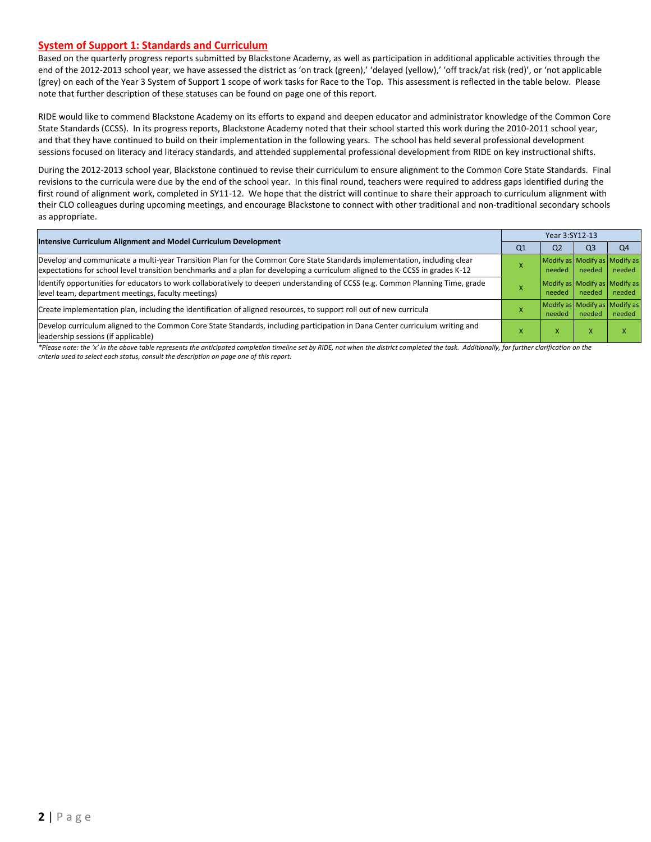#### **System of Support 1: Standards and Curriculum**

Based on the quarterly progress reports submitted by Blackstone Academy, as well as participation in additional applicable activities through the end of the 2012-2013 school year, we have assessed the district as 'on track (green),' 'delayed (yellow),' 'off track/at risk (red)', or 'not applicable (grey) on each of the Year 3 System of Support 1 scope of work tasks for Race to the Top. This assessment is reflected in the table below. Please note that further description of these statuses can be found on page one of this report.

RIDE would like to commend Blackstone Academy on its efforts to expand and deepen educator and administrator knowledge of the Common Core State Standards (CCSS). In its progress reports, Blackstone Academy noted that their school started this work during the 2010-2011 school year, and that they have continued to build on their implementation in the following years. The school has held several professional development sessions focused on literacy and literacy standards, and attended supplemental professional development from RIDE on key instructional shifts.

During the 2012-2013 school year, Blackstone continued to revise their curriculum to ensure alignment to the Common Core State Standards. Final revisions to the curricula were due by the end of the school year. In this final round, teachers were required to address gaps identified during the first round of alignment work, completed in SY11-12. We hope that the district will continue to share their approach to curriculum alignment with their CLO colleagues during upcoming meetings, and encourage Blackstone to connect with other traditional and non-traditional secondary schools as appropriate.

| Intensive Curriculum Alignment and Model Curriculum Development                                                                                                                                                                                           |    | Year 3:SY12-13 |                |                                         |  |  |  |
|-----------------------------------------------------------------------------------------------------------------------------------------------------------------------------------------------------------------------------------------------------------|----|----------------|----------------|-----------------------------------------|--|--|--|
|                                                                                                                                                                                                                                                           | Q1 | Q <sub>2</sub> | Q <sub>3</sub> | O <sub>4</sub>                          |  |  |  |
| Develop and communicate a multi-year Transition Plan for the Common Core State Standards implementation, including clear<br>expectations for school level transition benchmarks and a plan for developing a curriculum aligned to the CCSS in grades K-12 |    | needed         | needed         | Modify as Modify as Modify as<br>needed |  |  |  |
| Identify opportunities for educators to work collaboratively to deepen understanding of CCSS (e.g. Common Planning Time, grade<br>level team, department meetings, faculty meetings)                                                                      |    | needed         | needed         | Modify as Modify as Modify as<br>needed |  |  |  |
| Create implementation plan, including the identification of aligned resources, to support roll out of new curricula                                                                                                                                       |    | needed         | needed         | Modify as Modify as Modify as<br>needed |  |  |  |
| Develop curriculum aligned to the Common Core State Standards, including participation in Dana Center curriculum writing and<br>leadership sessions (if applicable)                                                                                       |    | x              |                |                                         |  |  |  |

*\*Please note: the 'x' in the above table represents the anticipated completion timeline set by RIDE, not when the district completed the task. Additionally, for further clarification on the criteria used to select each status, consult the description on page one of this report.*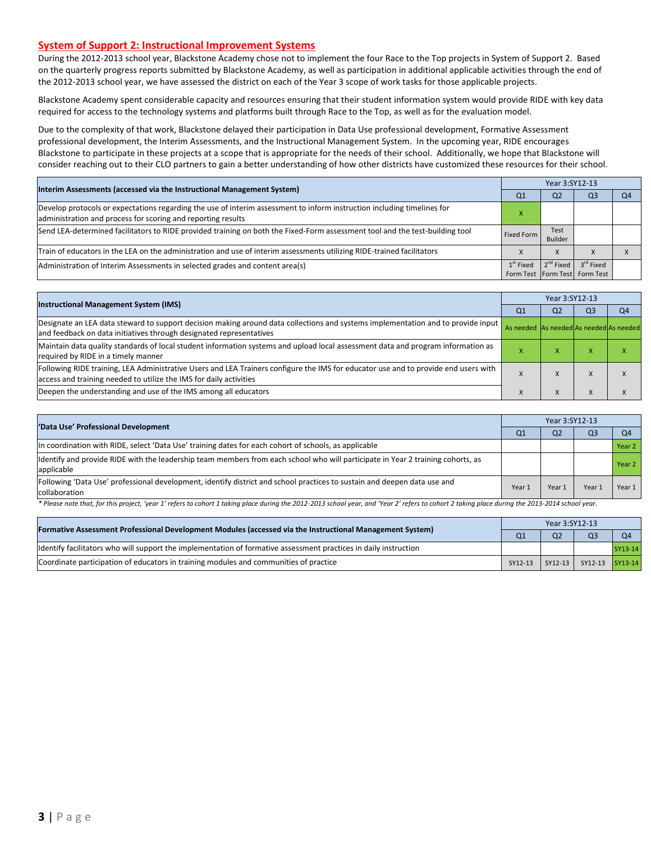#### **System of Support 2: Instructional Improvement Systems**

During the 2012-2013 school year, Blackstone Academy chose not to implement the four Race to the Top projects in System of Support 2. Based on the quarterly progress reports submitted by Blackstone Academy, as well as participation in additional applicable activities through the end of the 2012-2013 school year, we have assessed the district on each of the Year 3 scope of work tasks for those applicable projects.

Blackstone Academy spent considerable capacity and resources ensuring that their student information system would provide RIDE with key data required for access to the technology systems and platforms built through Race to the Top, as well as for the evaluation model.

Due to the complexity of that work, Blackstone delayed their participation in Data Use professional development, Formative Assessment professional development, the Interim Assessments, and the Instructional Management System. In the upcoming year, RIDE encourages Blackstone to participate in these projects at a scope that is appropriate for the needs of their school. Additionally, we hope that Blackstone will consider reaching out to their CLO partners to gain a better understanding of how other districts have customized these resources for their school.

| Interim Assessments (accessed via the Instructional Management System)                                                                                                                  |             | Year 3:SY12-13        |                                                        |    |  |  |
|-----------------------------------------------------------------------------------------------------------------------------------------------------------------------------------------|-------------|-----------------------|--------------------------------------------------------|----|--|--|
|                                                                                                                                                                                         | Q1          | Q <sub>2</sub>        | Q3                                                     | Q4 |  |  |
| Develop protocols or expectations regarding the use of interim assessment to inform instruction including timelines for<br>administration and process for scoring and reporting results |             |                       |                                                        |    |  |  |
| Send LEA-determined facilitators to RIDE provided training on both the Fixed-Form assessment tool and the test-building tool                                                            | Fixed Form  | Test<br>Builder       |                                                        |    |  |  |
| Train of educators in the LEA on the administration and use of interim assessments utilizing RIDE-trained facilitators                                                                  |             |                       |                                                        |    |  |  |
| Administration of Interim Assessments in selected grades and content area(s)                                                                                                            | $1st$ Fixed | 2 <sup>nd</sup> Fixed | 3 <sup>rd</sup> Fixed<br>Form Test Form Test Form Test |    |  |  |

| <b>Instructional Management System (IMS)</b>                                                                                                                                                              |                                         | Year 3:SY12-13 |           |    |  |  |  |
|-----------------------------------------------------------------------------------------------------------------------------------------------------------------------------------------------------------|-----------------------------------------|----------------|-----------|----|--|--|--|
|                                                                                                                                                                                                           | Q1                                      | Q2             | Q3        | Q4 |  |  |  |
| Designate an LEA data steward to support decision making around data collections and systems implementation and to provide input<br>and feedback on data initiatives through designated representatives   | As needed As needed As needed As needed |                |           |    |  |  |  |
| Maintain data quality standards of local student information systems and upload local assessment data and program information as<br>required by RIDE in a timely manner                                   |                                         | ⋏              | $\lambda$ |    |  |  |  |
| Following RIDE training, LEA Administrative Users and LEA Trainers configure the IMS for educator use and to provide end users with<br>access and training needed to utilize the IMS for daily activities |                                         | л              | $\Lambda$ |    |  |  |  |
| Deepen the understanding and use of the IMS among all educators                                                                                                                                           |                                         | X              |           |    |  |  |  |

| 'Data Use' Professional Development                                                                                                            |        | Year 3:SY12-13 |                |                |  |  |
|------------------------------------------------------------------------------------------------------------------------------------------------|--------|----------------|----------------|----------------|--|--|
|                                                                                                                                                | Q1     | Q <sub>2</sub> | Q <sub>3</sub> | O <sub>4</sub> |  |  |
| In coordination with RIDE, select 'Data Use' training dates for each cohort of schools, as applicable                                          |        |                |                | Year 2         |  |  |
| Identify and provide RIDE with the leadership team members from each school who will participate in Year 2 training cohorts, as<br>lapplicable |        |                |                | Year 2         |  |  |
| Following 'Data Use' professional development, identify district and school practices to sustain and deepen data use and<br>collaboration      | Year 1 | Year 1         | Year           | Year $1$       |  |  |

Please note that, for this project, 'year 1' refers to cohort 1 taking place during the 2012-2013 school year, and 'Year 2' refers to cohort 2 taking place during the 2013-2014 school year.

| [Formative Assessment Professional Development Modules (accessed via the Instructional Management System)        |                | Year 3:SY12-13 |                             |                |  |  |  |
|------------------------------------------------------------------------------------------------------------------|----------------|----------------|-----------------------------|----------------|--|--|--|
|                                                                                                                  | Q <sub>1</sub> | Q <sub>2</sub> | Q <sub>3</sub>              | O <sub>4</sub> |  |  |  |
| ldentify facilitators who will support the implementation of formative assessment practices in daily instruction |                |                |                             | SY13-14        |  |  |  |
| Coordinate participation of educators in training modules and communities of practice                            | SY12-13        |                | SY12-13   SY12-13   SY13-14 |                |  |  |  |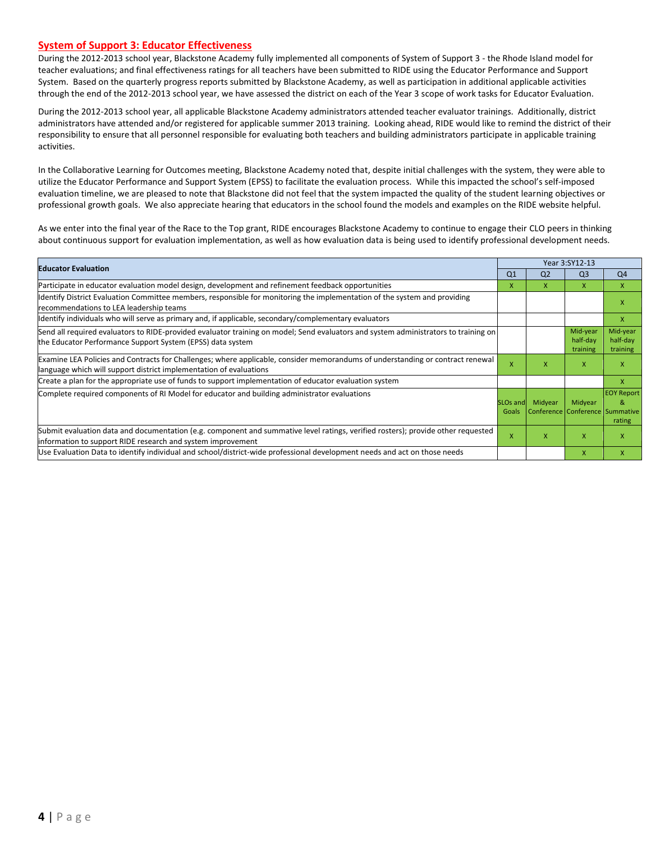#### **System of Support 3: Educator Effectiveness**

During the 2012-2013 school year, Blackstone Academy fully implemented all components of System of Support 3 - the Rhode Island model for teacher evaluations; and final effectiveness ratings for all teachers have been submitted to RIDE using the Educator Performance and Support System. Based on the quarterly progress reports submitted by Blackstone Academy, as well as participation in additional applicable activities through the end of the 2012-2013 school year, we have assessed the district on each of the Year 3 scope of work tasks for Educator Evaluation.

During the 2012-2013 school year, all applicable Blackstone Academy administrators attended teacher evaluator trainings. Additionally, district administrators have attended and/or registered for applicable summer 2013 training. Looking ahead, RIDE would like to remind the district of their responsibility to ensure that all personnel responsible for evaluating both teachers and building administrators participate in applicable training activities.

In the Collaborative Learning for Outcomes meeting, Blackstone Academy noted that, despite initial challenges with the system, they were able to utilize the Educator Performance and Support System (EPSS) to facilitate the evaluation process. While this impacted the school's self-imposed evaluation timeline, we are pleased to note that Blackstone did not feel that the system impacted the quality of the student learning objectives or professional growth goals. We also appreciate hearing that educators in the school found the models and examples on the RIDE website helpful.

As we enter into the final year of the Race to the Top grant, RIDE encourages Blackstone Academy to continue to engage their CLO peers in thinking about continuous support for evaluation implementation, as well as how evaluation data is being used to identify professional development needs.

| <b>Educator Evaluation</b>                                                                                                                                                                           |                          | Year 3:SY12-13 |                                            |                                  |  |
|------------------------------------------------------------------------------------------------------------------------------------------------------------------------------------------------------|--------------------------|----------------|--------------------------------------------|----------------------------------|--|
|                                                                                                                                                                                                      | Q <sub>1</sub>           | Q <sub>2</sub> | Q <sub>3</sub>                             | Q <sub>4</sub>                   |  |
| Participate in educator evaluation model design, development and refinement feedback opportunities                                                                                                   |                          | x              | X                                          | X                                |  |
| Identify District Evaluation Committee members, responsible for monitoring the implementation of the system and providing<br>recommendations to LEA leadership teams                                 |                          |                |                                            | x                                |  |
| Ildentify individuals who will serve as primary and, if applicable, secondary/complementary evaluators                                                                                               |                          |                |                                            | X                                |  |
| Send all required evaluators to RIDE-provided evaluator training on model; Send evaluators and system administrators to training on<br>the Educator Performance Support System (EPSS) data system    |                          |                | Mid-year<br>half-day<br>training           | Mid-year<br>half-day<br>training |  |
| Examine LEA Policies and Contracts for Challenges; where applicable, consider memorandums of understanding or contract renewal<br>language which will support district implementation of evaluations | X                        | X              | X                                          | X                                |  |
| Create a plan for the appropriate use of funds to support implementation of educator evaluation system                                                                                               |                          |                |                                            | X                                |  |
| Complete required components of RI Model for educator and building administrator evaluations                                                                                                         | <b>SLOs and</b><br>Goals | Midyear        | Midyear<br>Conference Conference Summative | <b>EOY Report</b><br>&<br>rating |  |
| Submit evaluation data and documentation (e.g. component and summative level ratings, verified rosters); provide other requested<br>information to support RIDE research and system improvement      |                          | x              | X                                          | x                                |  |
| Use Evaluation Data to identify individual and school/district-wide professional development needs and act on those needs                                                                            |                          |                | X                                          | x                                |  |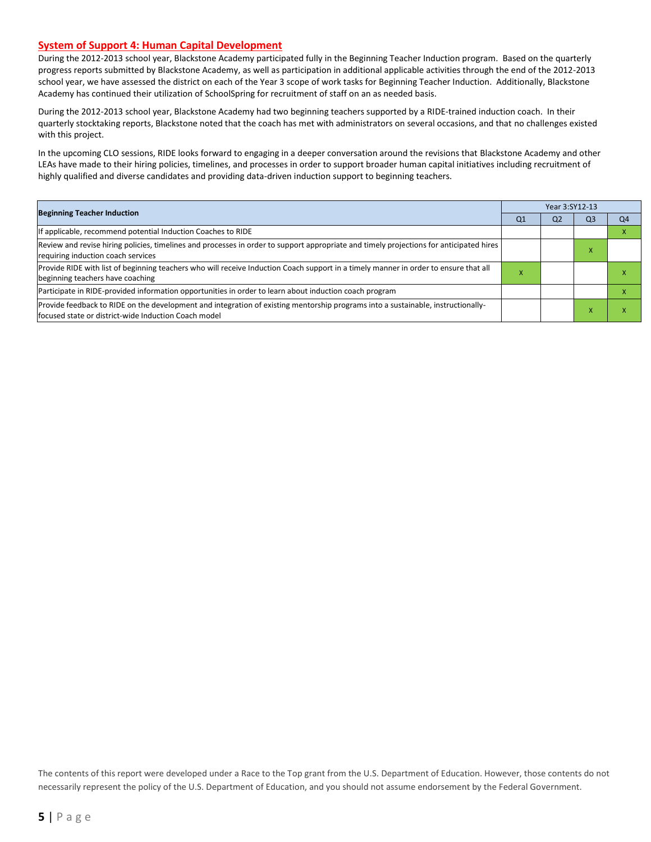#### **System of Support 4: Human Capital Development**

During the 2012-2013 school year, Blackstone Academy participated fully in the Beginning Teacher Induction program. Based on the quarterly progress reports submitted by Blackstone Academy, as well as participation in additional applicable activities through the end of the 2012-2013 school year, we have assessed the district on each of the Year 3 scope of work tasks for Beginning Teacher Induction. Additionally, Blackstone Academy has continued their utilization of SchoolSpring for recruitment of staff on an as needed basis.

During the 2012-2013 school year, Blackstone Academy had two beginning teachers supported by a RIDE-trained induction coach. In their quarterly stocktaking reports, Blackstone noted that the coach has met with administrators on several occasions, and that no challenges existed with this project.

In the upcoming CLO sessions, RIDE looks forward to engaging in a deeper conversation around the revisions that Blackstone Academy and other LEAs have made to their hiring policies, timelines, and processes in order to support broader human capital initiatives including recruitment of highly qualified and diverse candidates and providing data-driven induction support to beginning teachers.

| <b>Beginning Teacher Induction</b>                                                                                                                                                       |                | Year 3:SY12-13 |                |                |  |  |  |
|------------------------------------------------------------------------------------------------------------------------------------------------------------------------------------------|----------------|----------------|----------------|----------------|--|--|--|
|                                                                                                                                                                                          | Q <sub>1</sub> | Q <sub>2</sub> | Q <sub>3</sub> | Q <sub>4</sub> |  |  |  |
| If applicable, recommend potential Induction Coaches to RIDE                                                                                                                             |                |                |                |                |  |  |  |
| Review and revise hiring policies, timelines and processes in order to support appropriate and timely projections for anticipated hires<br>requiring induction coach services            |                |                | - ^            |                |  |  |  |
| Provide RIDE with list of beginning teachers who will receive Induction Coach support in a timely manner in order to ensure that all<br>beginning teachers have coaching                 | ⋏              |                |                |                |  |  |  |
| Participate in RIDE-provided information opportunities in order to learn about induction coach program                                                                                   |                |                |                |                |  |  |  |
| Provide feedback to RIDE on the development and integration of existing mentorship programs into a sustainable, instructionally-<br>focused state or district-wide Induction Coach model |                |                |                |                |  |  |  |

The contents of this report were developed under a Race to the Top grant from the U.S. Department of Education. However, those contents do not necessarily represent the policy of the U.S. Department of Education, and you should not assume endorsement by the Federal Government.